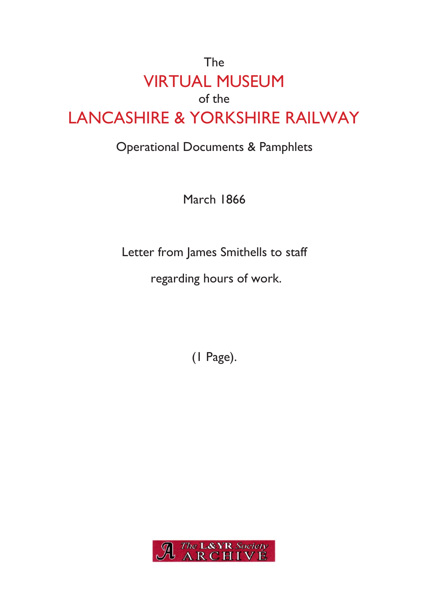## The VIRTUAL MUSEUM of the LANCASHIRE & YORKSHIRE RAILWAY

## Operational Documents & Pamphlets

March 1866

Letter from James Smithells to staff

regarding hours of work.

(1 Page).